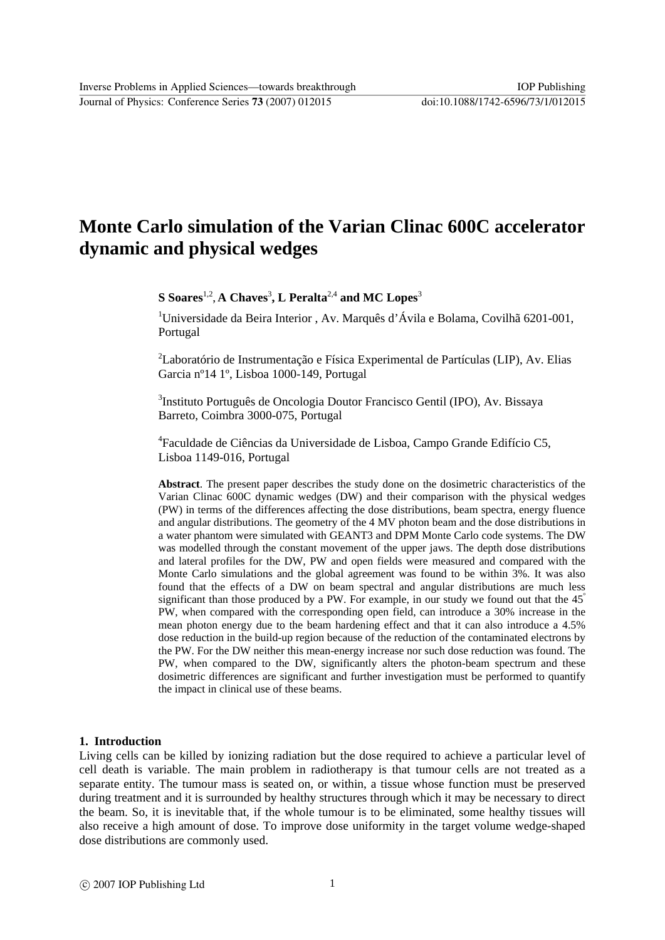Journal of Physics: Conference Series **73** (2007) 012015 doi:10.1088/1742-6596/73/1/012015

# **Monte Carlo simulation of the Varian Clinac 600C accelerator dynamic and physical wedges**

**S** Soares<sup>1,2</sup>, A Chaves<sup>3</sup>, L Peralta<sup>2,4</sup> and MC Lopes<sup>3</sup>

<sup>1</sup>Universidade da Beira Interior, Av. Marquês d'Ávila e Bolama, Covilhã 6201-001, Portugal

<sup>2</sup>Laboratório de Instrumentação e Física Experimental de Partículas (LIP), Av. Elias Garcia nº14 1º, Lisboa 1000-149, Portugal

3 Instituto Português de Oncologia Doutor Francisco Gentil (IPO), Av. Bissaya Barreto, Coimbra 3000-075, Portugal

4 Faculdade de Ciências da Universidade de Lisboa, Campo Grande Edifício C5, Lisboa 1149-016, Portugal

**Abstract**. The present paper describes the study done on the dosimetric characteristics of the Varian Clinac 600C dynamic wedges (DW) and their comparison with the physical wedges (PW) in terms of the differences affecting the dose distributions, beam spectra, energy fluence and angular distributions. The geometry of the 4 MV photon beam and the dose distributions in a water phantom were simulated with GEANT3 and DPM Monte Carlo code systems. The DW was modelled through the constant movement of the upper jaws. The depth dose distributions and lateral profiles for the DW, PW and open fields were measured and compared with the Monte Carlo simulations and the global agreement was found to be within 3%. It was also found that the effects of a DW on beam spectral and angular distributions are much less significant than those produced by a PW. For example, in our study we found out that the  $45^\circ$ PW, when compared with the corresponding open field, can introduce a 30% increase in the mean photon energy due to the beam hardening effect and that it can also introduce a 4.5% dose reduction in the build-up region because of the reduction of the contaminated electrons by the PW. For the DW neither this mean-energy increase nor such dose reduction was found. The PW, when compared to the DW, significantly alters the photon-beam spectrum and these dosimetric differences are significant and further investigation must be performed to quantify the impact in clinical use of these beams.

## **1. Introduction**

Living cells can be killed by ionizing radiation but the dose required to achieve a particular level of cell death is variable. The main problem in radiotherapy is that tumour cells are not treated as a separate entity. The tumour mass is seated on, or within, a tissue whose function must be preserved during treatment and it is surrounded by healthy structures through which it may be necessary to direct the beam. So, it is inevitable that, if the whole tumour is to be eliminated, some healthy tissues will also receive a high amount of dose. To improve dose uniformity in the target volume wedge-shaped dose distributions are commonly used.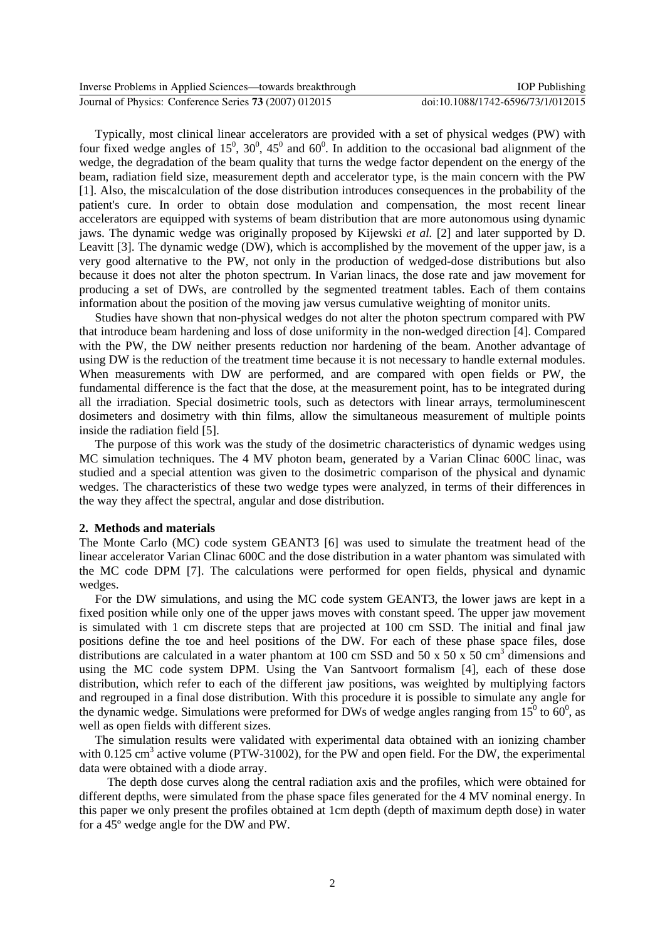Typically, most clinical linear accelerators are provided with a set of physical wedges (PW) with four fixed wedge angles of  $15^0$ ,  $30^0$ ,  $45^0$  and  $60^0$ . In addition to the occasional bad alignment of the wedge, the degradation of the beam quality that turns the wedge factor dependent on the energy of the beam, radiation field size, measurement depth and accelerator type, is the main concern with the PW [1]. Also, the miscalculation of the dose distribution introduces consequences in the probability of the patient's cure. In order to obtain dose modulation and compensation, the most recent linear accelerators are equipped with systems of beam distribution that are more autonomous using dynamic jaws. The dynamic wedge was originally proposed by Kijewski *et al.* [2] and later supported by D. Leavitt [3]. The dynamic wedge (DW), which is accomplished by the movement of the upper jaw, is a very good alternative to the PW, not only in the production of wedged-dose distributions but also because it does not alter the photon spectrum. In Varian linacs, the dose rate and jaw movement for producing a set of DWs, are controlled by the segmented treatment tables. Each of them contains information about the position of the moving jaw versus cumulative weighting of monitor units.

Studies have shown that non-physical wedges do not alter the photon spectrum compared with PW that introduce beam hardening and loss of dose uniformity in the non-wedged direction [4]. Compared with the PW, the DW neither presents reduction nor hardening of the beam. Another advantage of using DW is the reduction of the treatment time because it is not necessary to handle external modules. When measurements with DW are performed, and are compared with open fields or PW, the fundamental difference is the fact that the dose, at the measurement point, has to be integrated during all the irradiation. Special dosimetric tools, such as detectors with linear arrays, termoluminescent dosimeters and dosimetry with thin films, allow the simultaneous measurement of multiple points inside the radiation field [5].

The purpose of this work was the study of the dosimetric characteristics of dynamic wedges using MC simulation techniques. The 4 MV photon beam, generated by a Varian Clinac 600C linac, was studied and a special attention was given to the dosimetric comparison of the physical and dynamic wedges. The characteristics of these two wedge types were analyzed, in terms of their differences in the way they affect the spectral, angular and dose distribution.

## **2. Methods and materials**

The Monte Carlo (MC) code system GEANT3 [6] was used to simulate the treatment head of the linear accelerator Varian Clinac 600C and the dose distribution in a water phantom was simulated with the MC code DPM [7]. The calculations were performed for open fields, physical and dynamic wedges.

For the DW simulations, and using the MC code system GEANT3, the lower jaws are kept in a fixed position while only one of the upper jaws moves with constant speed. The upper jaw movement is simulated with 1 cm discrete steps that are projected at 100 cm SSD. The initial and final jaw positions define the toe and heel positions of the DW. For each of these phase space files, dose distributions are calculated in a water phantom at 100 cm SSD and 50 x 50 x  $\frac{1}{50}$  cm<sup>3</sup> dimensions and using the MC code system DPM. Using the Van Santvoort formalism [4], each of these dose distribution, which refer to each of the different jaw positions, was weighted by multiplying factors and regrouped in a final dose distribution. With this procedure it is possible to simulate any angle for the dynamic wedge. Simulations were preformed for DWs of wedge angles ranging from  $15^{\circ}$  to 60<sup>°</sup>, as well as open fields with different sizes.

The simulation results were validated with experimental data obtained with an ionizing chamber with 0.125 cm<sup>3</sup> active volume (PTW-31002), for the PW and open field. For the DW, the experimental data were obtained with a diode array.

 The depth dose curves along the central radiation axis and the profiles, which were obtained for different depths, were simulated from the phase space files generated for the 4 MV nominal energy. In this paper we only present the profiles obtained at 1cm depth (depth of maximum depth dose) in water for a 45º wedge angle for the DW and PW.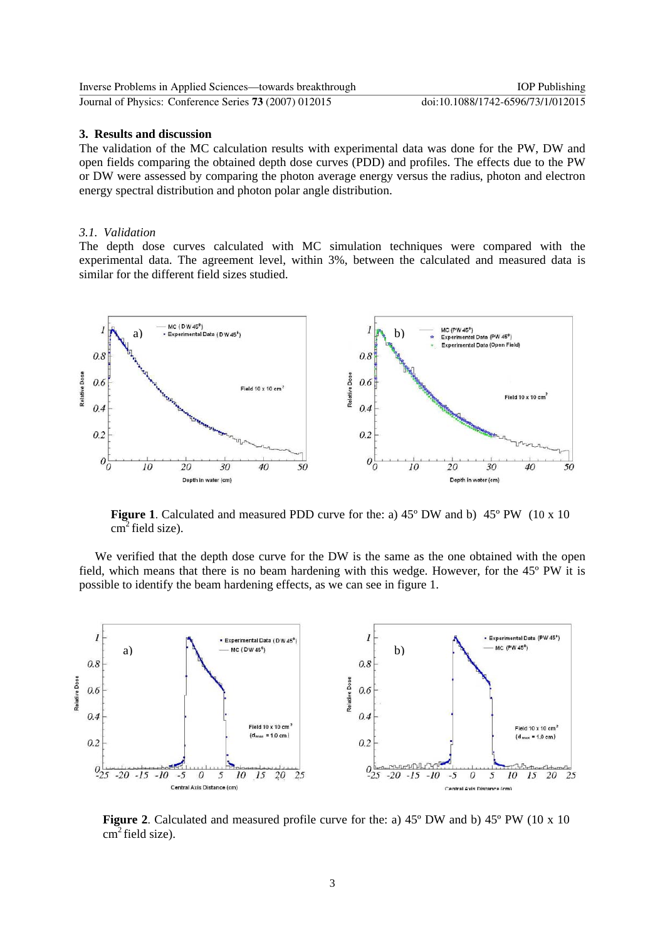| Inverse Problems in Applied Sciences—towards breakthrough | <b>IOP</b> Publishing             |
|-----------------------------------------------------------|-----------------------------------|
| Journal of Physics: Conference Series 73 (2007) 012015    | doi:10.1088/1742-6596/73/1/012015 |

#### **3. Results and discussion**

The validation of the MC calculation results with experimental data was done for the PW, DW and open fields comparing the obtained depth dose curves (PDD) and profiles. The effects due to the PW or DW were assessed by comparing the photon average energy versus the radius, photon and electron energy spectral distribution and photon polar angle distribution.

## *3.1. Validation*

The depth dose curves calculated with MC simulation techniques were compared with the experimental data. The agreement level, within 3%, between the calculated and measured data is similar for the different field sizes studied.



**Figure 1**. Calculated and measured PDD curve for the: a) 45° DW and b) 45° PW (10 x 10  $cm<sup>2</sup>$  field size).

We verified that the depth dose curve for the DW is the same as the one obtained with the open field, which means that there is no beam hardening with this wedge. However, for the 45º PW it is possible to identify the beam hardening effects, as we can see in figure 1.



**Figure 2**. Calculated and measured profile curve for the: a) 45º DW and b) 45º PW (10 x 10  $cm<sup>2</sup>$  field size).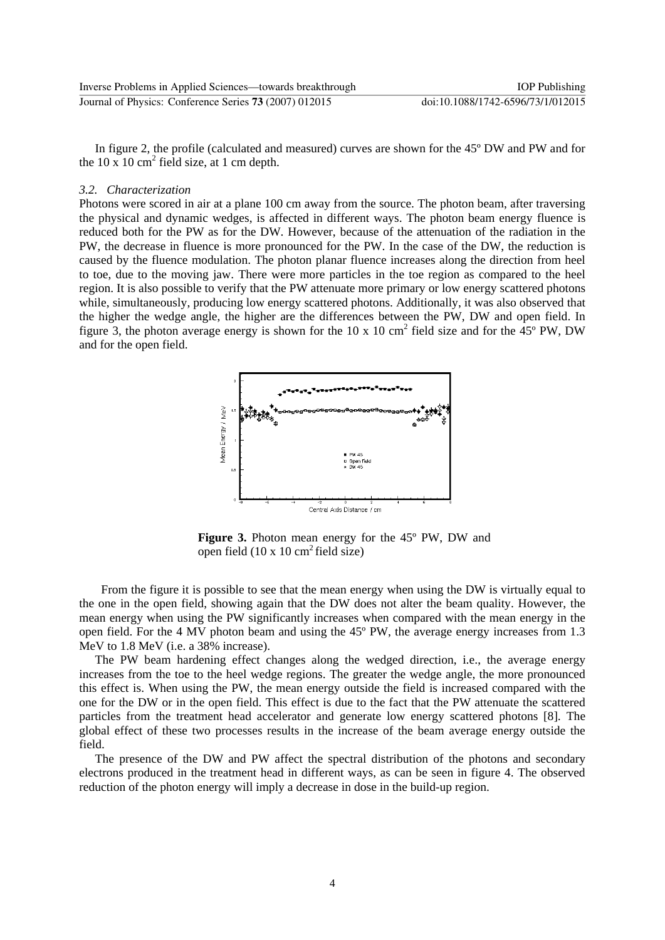| Inverse Problems in Applied Sciences—towards breakthrough | <b>IOP</b> Publishing             |
|-----------------------------------------------------------|-----------------------------------|
| Journal of Physics: Conference Series 73 (2007) 012015    | doi:10.1088/1742-6596/73/1/012015 |

In figure 2, the profile (calculated and measured) curves are shown for the 45º DW and PW and for the 10 x 10  $\text{cm}^2$  field size, at 1 cm depth.

#### *3.2. Characterization*

Photons were scored in air at a plane 100 cm away from the source. The photon beam, after traversing the physical and dynamic wedges, is affected in different ways. The photon beam energy fluence is reduced both for the PW as for the DW. However, because of the attenuation of the radiation in the PW, the decrease in fluence is more pronounced for the PW. In the case of the DW, the reduction is caused by the fluence modulation. The photon planar fluence increases along the direction from heel to toe, due to the moving jaw. There were more particles in the toe region as compared to the heel region. It is also possible to verify that the PW attenuate more primary or low energy scattered photons while, simultaneously, producing low energy scattered photons. Additionally, it was also observed that the higher the wedge angle, the higher are the differences between the PW, DW and open field. In figure 3, the photon average energy is shown for the 10 x 10 cm<sup>2</sup> field size and for the  $45^{\circ}$  PW, DW and for the open field.



**Figure 3.** Photon mean energy for the 45º PW, DW and open field  $(10 \times 10 \text{ cm}^2 \text{ field size})$ 

 From the figure it is possible to see that the mean energy when using the DW is virtually equal to the one in the open field, showing again that the DW does not alter the beam quality. However, the mean energy when using the PW significantly increases when compared with the mean energy in the open field. For the 4 MV photon beam and using the 45º PW, the average energy increases from 1.3 MeV to 1.8 MeV (i.e. a 38% increase).

The PW beam hardening effect changes along the wedged direction, i.e., the average energy increases from the toe to the heel wedge regions. The greater the wedge angle, the more pronounced this effect is. When using the PW, the mean energy outside the field is increased compared with the one for the DW or in the open field. This effect is due to the fact that the PW attenuate the scattered particles from the treatment head accelerator and generate low energy scattered photons [8]. The global effect of these two processes results in the increase of the beam average energy outside the field.

The presence of the DW and PW affect the spectral distribution of the photons and secondary electrons produced in the treatment head in different ways, as can be seen in figure 4. The observed reduction of the photon energy will imply a decrease in dose in the build-up region.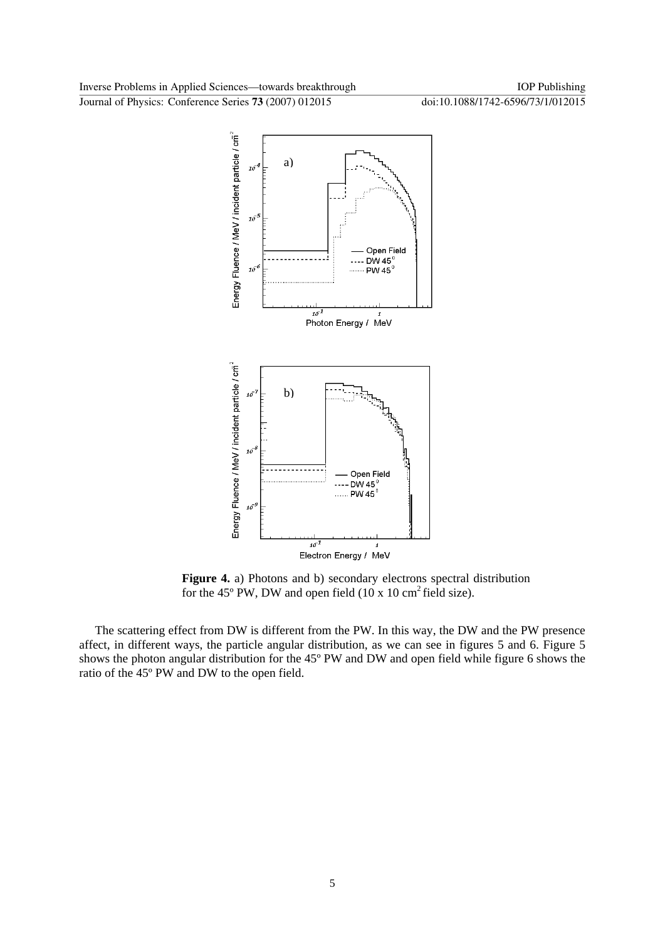Journal of Physics: Conference Series **73** (2007) 012015 doi:10.1088/1742-6596/73/1/012015



**Figure 4.** a) Photons and b) secondary electrons spectral distribution for the 45 $\degree$  PW, DW and open field (10 x 10 cm<sup>2</sup> field size).

The scattering effect from DW is different from the PW. In this way, the DW and the PW presence affect, in different ways, the particle angular distribution, as we can see in figures 5 and 6. Figure 5 shows the photon angular distribution for the 45º PW and DW and open field while figure 6 shows the ratio of the 45º PW and DW to the open field.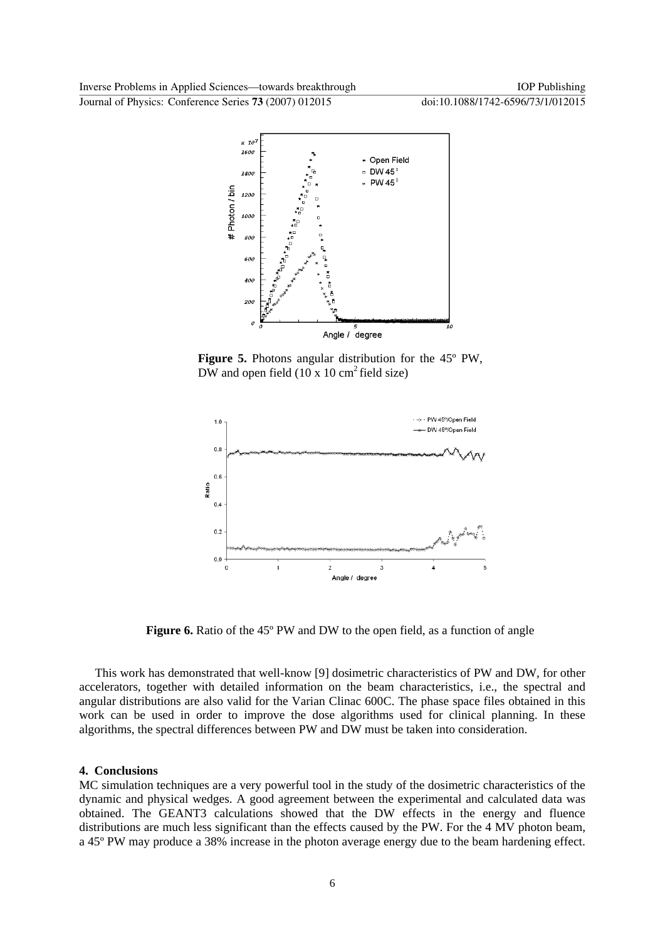Journal of Physics: Conference Series **73** (2007) 012015 doi:10.1088/1742-6596/73/1/012015



**Figure 5.** Photons angular distribution for the 45º PW, DW and open field  $(10 \times 10 \text{ cm}^2 \text{ field size})$ 



**Figure 6.** Ratio of the 45<sup>°</sup> PW and DW to the open field, as a function of angle

This work has demonstrated that well-know [9] dosimetric characteristics of PW and DW, for other accelerators, together with detailed information on the beam characteristics, i.e., the spectral and angular distributions are also valid for the Varian Clinac 600C. The phase space files obtained in this work can be used in order to improve the dose algorithms used for clinical planning. In these algorithms, the spectral differences between PW and DW must be taken into consideration.

#### **4. Conclusions**

MC simulation techniques are a very powerful tool in the study of the dosimetric characteristics of the dynamic and physical wedges. A good agreement between the experimental and calculated data was obtained. The GEANT3 calculations showed that the DW effects in the energy and fluence distributions are much less significant than the effects caused by the PW. For the 4 MV photon beam, a 45º PW may produce a 38% increase in the photon average energy due to the beam hardening effect.